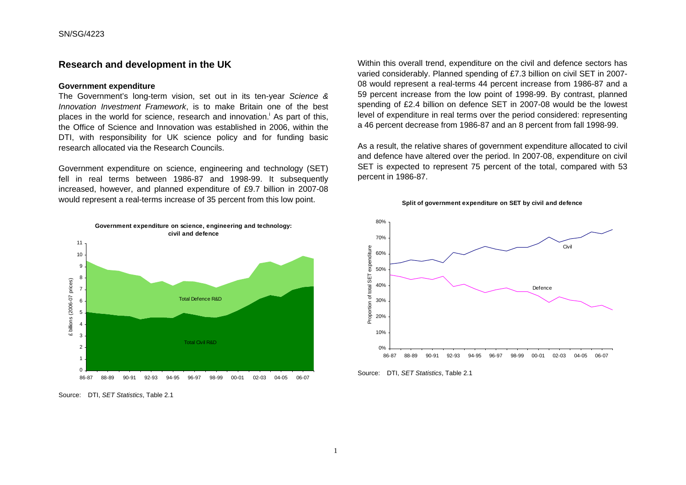### SN/SG/4223

### **Government expenditure**

The Government's long-term vision, set out in its ten-year *Science & Innovation Investment Framework*, is to make Britain one of the best places [i](#page-4-0)n the world for science, research and innovation.<sup>i</sup> As part of this, the Office of Science and Innovation was established in 2006, within the DTI, with responsibility for UK science policy and for funding basic research allocated via the Research Councils. As a result, the relative shares of government expenditure allocated to civil

Government expenditure on science, engineering and technology (SET) fell in real terms between 1986-87 and 1998-99. It subsequently increased, however, and planned expenditure of £9.7 billion in 2007-08 would represent a real-terms increase of 35 percent from this low point.<br>**Split of government expenditure on SET by civil and defence** 

**Research and development in the UK** Within this overall trend, expenditure on the civil and defence sectors has varied considerably. Planned spending of £7.3 billion on civil SET in 2007- 08 would represent a real-terms 44 percent increase from 1986-87 and a 59 percent increase from the low point of 1998-99. By contrast, planned spending of £2.4 billion on defence SET in 2007-08 would be the lowest level of expenditure in real terms over the period considered: representing a 46 percent decrease from 1986-87 and an 8 percent from fall 1998-99.

> and defence have altered over the period. In 2007-08, expenditure on civil SET is expected to represent 75 percent of the total, compared with 53 percent in 1986-87.





Source: DTI, *SET Statistics*, Table 2.1

£ billions (2006-07 prices)



Source: DTI, *SET Statistics*, Table 2.1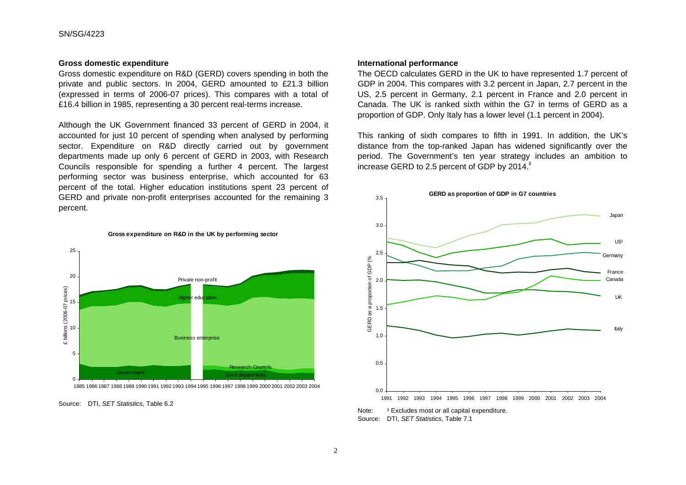## **Gross domestic expenditure international performance international performance**

Gross domestic expenditure on R&D (GERD) covers spending in both the private and public sectors. In 2004, GERD amounted to £21.3 billion (expressed in terms of 2006-07 prices). This compares with a total of £16.4 billion in 1985, representing a 30 percent real-terms increase.

Although the UK Government financed 33 percent of GERD in 2004, it accounted for just 10 percent of spending when analysed by performing sector. Expenditure on R&D directly carried out by government departments made up only 6 percent of GERD in 2003, with Research Councils responsible for spending a further 4 percent. The largest performing sector was business enterprise, which accounted for 63 percent of the total. Higher education institutions spent 23 percent of GERD and private non-profit enterprises accounted for the remaining 3 percent.

### **Gross expenditure on R&D in the UK by performing sector**



1985 1986 1987 1988 1989 1990 1991 1992 1993 1994 1995 1996 1997 1998 1999 2000 2001 2002 2003 2004

Source: DTI, *SET Statistics*, Table 6.2

The OECD calculates GERD in the UK to have represented 1.7 percent of GDP in 2004. This compares with 3.2 percent in Japan, 2.7 percent in the US, 2.5 percent in Germany, 2.1 percent in France and 2.0 percent in Canada. The UK is ranked sixth within the G7 in terms of GERD as a proportion of GDP. Only Italy has a lower level (1.1 percent in 2004).

This ranking of sixth compares to fifth in 1991. In addition, the UK's distance from the top-ranked Japan has widened significantly over the period. The Government's ten year strategy includes an ambition to increase GERD to 2.5 percent of GDP by 2014.<sup>[ii](#page-4-1)</sup>



2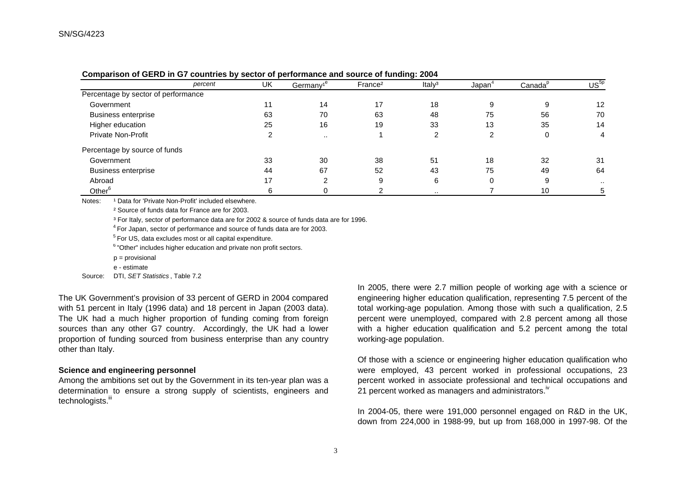|                                     | percent | UK | Germany <sup>1e</sup> | France <sup>2</sup> | Ital $v^3$ | Japan <sup>®</sup> | Canada <sup>k</sup> | $\mathsf{US}^\mathsf{5p}$ |
|-------------------------------------|---------|----|-----------------------|---------------------|------------|--------------------|---------------------|---------------------------|
| Percentage by sector of performance |         |    |                       |                     |            |                    |                     |                           |
| Government                          |         | 11 | 14                    | 17                  | 18         | g                  |                     | $12 \overline{ }$         |
| <b>Business enterprise</b>          |         | 63 | 70                    | 63                  | 48         | 75                 | 56                  | 70                        |
| Higher education                    |         | 25 | 16                    | 19                  | 33         | 13                 | 35                  | 14                        |
| <b>Private Non-Profit</b>           |         | ົ  | $\cdots$              |                     | 2          | 2                  | 0                   | 4                         |
| Percentage by source of funds       |         |    |                       |                     |            |                    |                     |                           |
| Government                          |         | 33 | 30                    | 38                  | 51         | 18                 | 32                  | 31                        |
| <b>Business enterprise</b>          |         | 44 | 67                    | 52                  | 43         | 75                 | 49                  | 64                        |
| Abroad                              |         | 17 | 2                     | 9                   | 6          |                    | 9                   |                           |
| Other $6$                           |         | 6  |                       |                     | $\cdot$ .  |                    | 10                  | 5                         |

**Comparison of GERD in G7 countries by sector of performance and source of funding: 2004**

Notes:: 1 Data for 'Private Non-Profit' included elsewhere.

² Source of funds data for France are for 2003.

³ For Italy, sector of performance data are for 2002 & source of funds data are for 1996.

 $4$  For Japan, sector of performance and source of funds data are for 2003.

 $<sup>5</sup>$  For US, data excludes most or all capital expenditure.</sup>

 $6$  "Other" includes higher education and private non profit sectors.

p = provisional

e - estimate

Source: DTI, *SET Statistics* , Table 7.2

The UK Government's provision of 33 percent of GERD in 2004 compared with 51 percent in Italy (1996 data) and 18 percent in Japan (2003 data). The UK had a much higher proportion of funding coming from foreign sources than any other G7 country. Accordingly, the UK had a lower proportion of funding sourced from business enterprise than any country other than Italy.

# **Science and engineering personnel**

Among the ambitions set out by the Government in its ten-year plan was a determination to ensure a strong supply of scientists, engineers and technologists.<sup>[iii](#page-4-2)</sup>

In 2005, there were 2.7 million people of working age with a science or engineering higher education qualification, representing 7.5 percent of the total working-age population. Among those with such a qualification, 2.5 percent were unemployed, compared with 2.8 percent among all those with a higher education qualification and 5.2 percent among the total working-age population.

Of those with a science or engineering higher education qualification who were employed, 43 percent worked in professional occupations, 23 percent worked in associate professional and technical occupations and 21 percent worked as managers and administrators.<sup>[iv](#page-4-3)</sup>

In 2004-05, there were 191,000 personnel engaged on R&D in the UK, down from 224,000 in 1988-99, but up from 168,000 in 1997-98. Of the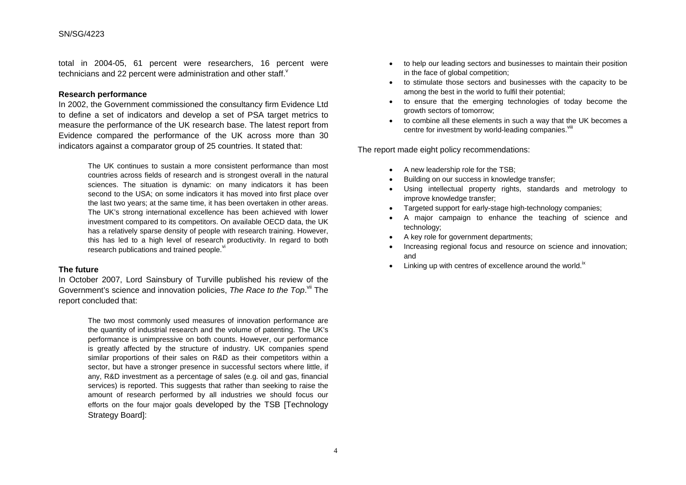total in 2004-05, 61 percent were researchers, 16 percent were technicians and 22 percent were administration and other staff.

### **Research performance**

In 2002, the Government commissioned the consultancy firm Evidence Ltd **to the consultancy** firm Evidence Ltd sectors of tomorrow;<br>to define a set of indicators and develop a set of PSA target metrics to the sector of the measure the performance of the UK research base. The latest report from Evidence compared the performance of the UK across more than 30 indicators against a comparator group of 25 countries. It stated that:

The UK continues to sustain a more consistent performance than most countries across fields of research and is strongest overall in the natural sciences. The situation is dynamic: on many indicators it has been second to the USA; on some indicators it has moved into first place over the last two years; at the same time, it has been overtaken in other areas. The UK's strong international excellence has been achieved with lower investment compared to its competitors. On available OECD data, the UK has a relatively sparse density of people with research training. However, this has led to a high level of research productivity. In regard to both research publications and trained people.<sup>[vi](#page-4-5)</sup>

In October 2007, Lord Sainsbury of Turville published his review of the Government's science and innovation policies, *[T](#page-4-6)he Race to the Top.*<sup>[vii](#page-4-6)</sup> The report concluded that:

> The two most commonly used measures of innovation performance are the quantity of industrial research and the volume of patenting. The UK's performance is unimpressive on both counts. However, our performance is greatly affected by the structure of industry. UK companies spend similar proportions of their sales on R&D as their competitors within a sector, but have a stronger presence in successful sectors where little, if any, R&D investment as a percentage of sales (e.g. oil and gas, financial services) is reported. This suggests that rather than seeking to raise the amount of research performed by all industries we should focus our efforts on the four major goals developed by the TSB [Technology Strategy Board]:

- • to help our leading sectors and businesses to maintain their position in the face of global competition;
- • to stimulate those sectors and businesses with the capacity to be among the best in the world to fulfil their potential:
- •to ensure that the emerging technologies of today become the
- • to combine all these elements in such a way that the UK becomes a centre for investment by world-leading companies.<sup>VIII</sup>

The report made eight policy recommendations:

- •A new leadership role for the TSB;
- •Building on our success in knowledge transfer;
- • Using intellectual property rights, standards and metrology to improve knowledge transfer;
- •Targeted support for early-stage high-technology companies;
- • A major campaign to enhance the teaching of science and technology;
- •A key role for government departments;
- • Increasing regional focus and resource on science and innovation; and
- •**The future The future The future The future The future The future The future The future The future The future The future The future The future The future The future The future The future**